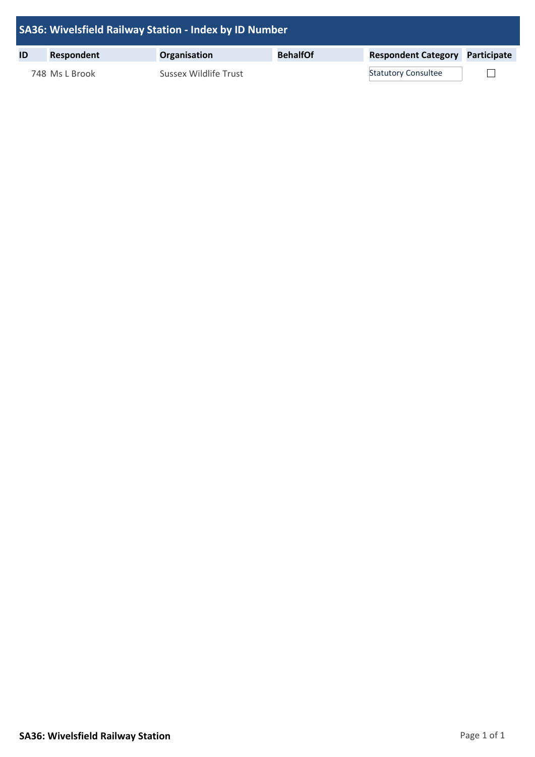| SA36: Wivelsfield Railway Station - Index by ID Number |                   |                       |                 |                                        |  |  |  |
|--------------------------------------------------------|-------------------|-----------------------|-----------------|----------------------------------------|--|--|--|
| ID                                                     | <b>Respondent</b> | Organisation          | <b>BehalfOf</b> | <b>Respondent Category Participate</b> |  |  |  |
|                                                        | 748 Ms L Brook    | Sussex Wildlife Trust |                 | <b>Statutory Consultee</b>             |  |  |  |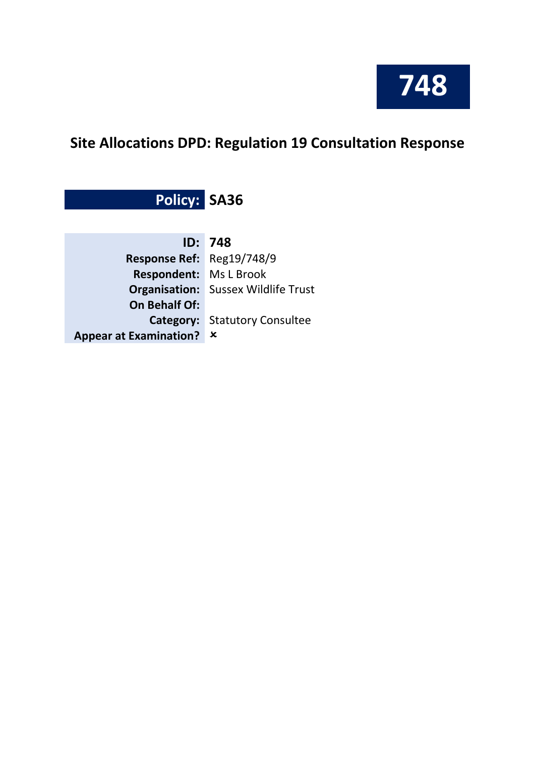

# **Site Allocations DPD: Regulation 19 Consultation Response**

**Policy: SA36**

|                               | <b>ID: 748</b>                             |
|-------------------------------|--------------------------------------------|
| Response Ref: Reg19/748/9     |                                            |
| <b>Respondent:</b> Ms L Brook |                                            |
|                               | <b>Organisation:</b> Sussex Wildlife Trust |
| <b>On Behalf Of:</b>          |                                            |
|                               | <b>Category:</b> Statutory Consultee       |
| Appear at Examination? x      |                                            |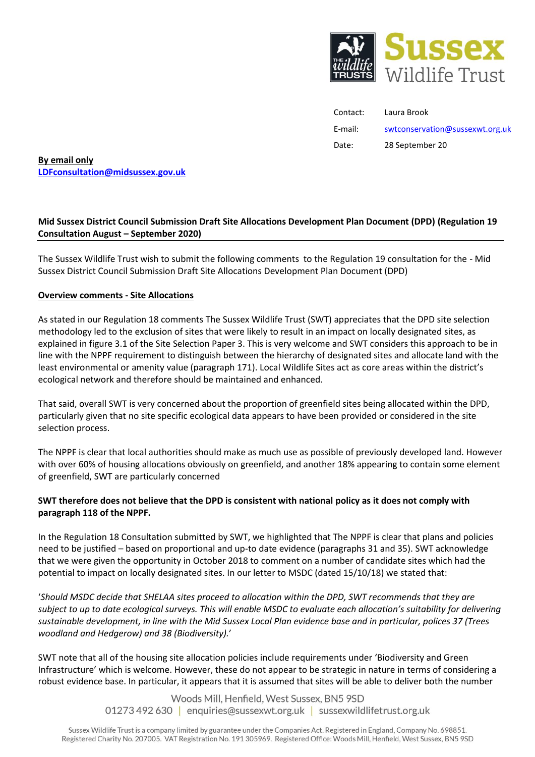

| Contact: | Laura Brook                     |
|----------|---------------------------------|
| E-mail:  | swtconservation@sussexwt.org.uk |
| Date:    | 28 September 20                 |

**By email only [LDFconsultation@midsussex.gov.uk](mailto:LDFconsultation@midsussex.gov.uk)**

## **Mid Sussex District Council Submission Draft Site Allocations Development Plan Document (DPD) (Regulation 19 Consultation August – September 2020)**

The Sussex Wildlife Trust wish to submit the following comments to the Regulation 19 consultation for the - Mid Sussex District Council Submission Draft Site Allocations Development Plan Document (DPD)

## **Overview comments - Site Allocations**

As stated in our Regulation 18 comments The Sussex Wildlife Trust (SWT) appreciates that the DPD site selection methodology led to the exclusion of sites that were likely to result in an impact on locally designated sites, as explained in figure 3.1 of the Site Selection Paper 3. This is very welcome and SWT considers this approach to be in line with the NPPF requirement to distinguish between the hierarchy of designated sites and allocate land with the least environmental or amenity value (paragraph 171). Local Wildlife Sites act as core areas within the district's ecological network and therefore should be maintained and enhanced.

That said, overall SWT is very concerned about the proportion of greenfield sites being allocated within the DPD, particularly given that no site specific ecological data appears to have been provided or considered in the site selection process.

The NPPF is clear that local authorities should make as much use as possible of previously developed land. However with over 60% of housing allocations obviously on greenfield, and another 18% appearing to contain some element of greenfield, SWT are particularly concerned

## **SWT therefore does not believe that the DPD is consistent with national policy as it does not comply with paragraph 118 of the NPPF.**

In the Regulation 18 Consultation submitted by SWT, we highlighted that The NPPF is clear that plans and policies need to be justified – based on proportional and up-to date evidence (paragraphs 31 and 35). SWT acknowledge that we were given the opportunity in October 2018 to comment on a number of candidate sites which had the potential to impact on locally designated sites. In our letter to MSDC (dated 15/10/18) we stated that:

'*Should MSDC decide that SHELAA sites proceed to allocation within the DPD, SWT recommends that they are subject to up to date ecological surveys. This will enable MSDC to evaluate each allocation's suitability for delivering sustainable development, in line with the Mid Sussex Local Plan evidence base and in particular, polices 37 (Trees woodland and Hedgerow) and 38 (Biodiversity).*'

SWT note that all of the housing site allocation policies include requirements under 'Biodiversity and Green Infrastructure' which is welcome. However, these do not appear to be strategic in nature in terms of considering a robust evidence base. In particular, it appears that it is assumed that sites will be able to deliver both the number

> Woods Mill, Henfield, West Sussex, BN5 9SD 01273 492 630 | enquiries@sussexwt.org.uk | sussexwildlifetrust.org.uk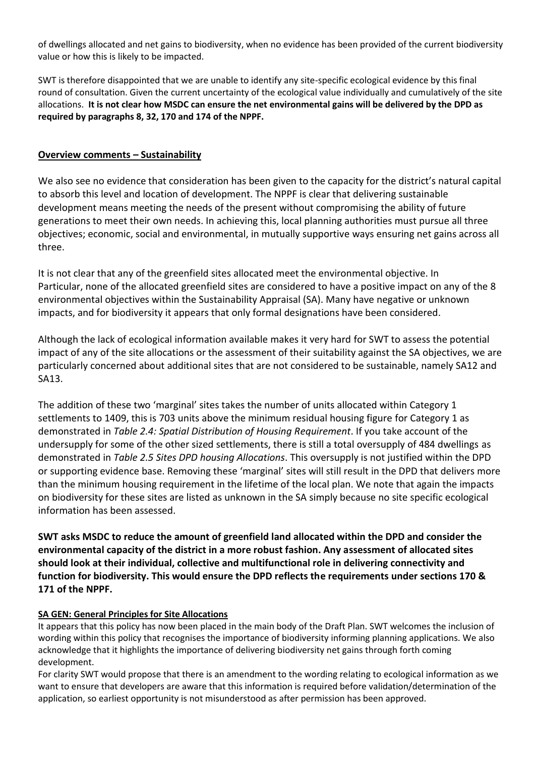of dwellings allocated and net gains to biodiversity, when no evidence has been provided of the current biodiversity value or how this is likely to be impacted.

SWT is therefore disappointed that we are unable to identify any site-specific ecological evidence by this final round of consultation. Given the current uncertainty of the ecological value individually and cumulatively of the site allocations. **It is not clear how MSDC can ensure the net environmental gains will be delivered by the DPD as required by paragraphs 8, 32, 170 and 174 of the NPPF.**

## **Overview comments – Sustainability**

We also see no evidence that consideration has been given to the capacity for the district's natural capital to absorb this level and location of development. The NPPF is clear that delivering sustainable development means meeting the needs of the present without compromising the ability of future generations to meet their own needs. In achieving this, local planning authorities must pursue all three objectives; economic, social and environmental, in mutually supportive ways ensuring net gains across all three.

It is not clear that any of the greenfield sites allocated meet the environmental objective. In Particular, none of the allocated greenfield sites are considered to have a positive impact on any of the 8 environmental objectives within the Sustainability Appraisal (SA). Many have negative or unknown impacts, and for biodiversity it appears that only formal designations have been considered.

Although the lack of ecological information available makes it very hard for SWT to assess the potential impact of any of the site allocations or the assessment of their suitability against the SA objectives, we are particularly concerned about additional sites that are not considered to be sustainable, namely SA12 and SA13.

The addition of these two 'marginal' sites takes the number of units allocated within Category 1 settlements to 1409, this is 703 units above the minimum residual housing figure for Category 1 as demonstrated in *Table 2.4: Spatial Distribution of Housing Requirement*. If you take account of the undersupply for some of the other sized settlements, there is still a total oversupply of 484 dwellings as demonstrated in *Table 2.5 Sites DPD housing Allocations*. This oversupply is not justified within the DPD or supporting evidence base. Removing these 'marginal' sites will still result in the DPD that delivers more than the minimum housing requirement in the lifetime of the local plan. We note that again the impacts on biodiversity for these sites are listed as unknown in the SA simply because no site specific ecological information has been assessed.

**SWT asks MSDC to reduce the amount of greenfield land allocated within the DPD and consider the environmental capacity of the district in a more robust fashion. Any assessment of allocated sites should look at their individual, collective and multifunctional role in delivering connectivity and function for biodiversity. This would ensure the DPD reflects the requirements under sections 170 & 171 of the NPPF.** 

## **SA GEN: General Principles for Site Allocations**

It appears that this policy has now been placed in the main body of the Draft Plan. SWT welcomes the inclusion of wording within this policy that recognises the importance of biodiversity informing planning applications. We also acknowledge that it highlights the importance of delivering biodiversity net gains through forth coming development.

For clarity SWT would propose that there is an amendment to the wording relating to ecological information as we want to ensure that developers are aware that this information is required before validation/determination of the application, so earliest opportunity is not misunderstood as after permission has been approved.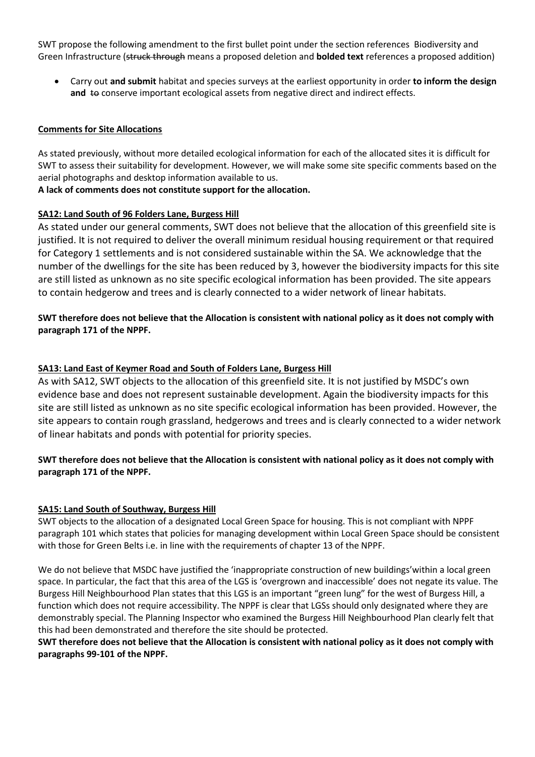SWT propose the following amendment to the first bullet point under the section references Biodiversity and Green Infrastructure (struck through means a proposed deletion and **bolded text** references a proposed addition)

 Carry out **and submit** habitat and species surveys at the earliest opportunity in order **to inform the design**  and to conserve important ecological assets from negative direct and indirect effects.

#### **Comments for Site Allocations**

As stated previously, without more detailed ecological information for each of the allocated sites it is difficult for SWT to assess their suitability for development. However, we will make some site specific comments based on the aerial photographs and desktop information available to us.

## **A lack of comments does not constitute support for the allocation.**

#### **SA12: Land South of 96 Folders Lane, Burgess Hill**

As stated under our general comments, SWT does not believe that the allocation of this greenfield site is justified. It is not required to deliver the overall minimum residual housing requirement or that required for Category 1 settlements and is not considered sustainable within the SA. We acknowledge that the number of the dwellings for the site has been reduced by 3, however the biodiversity impacts for this site are still listed as unknown as no site specific ecological information has been provided. The site appears to contain hedgerow and trees and is clearly connected to a wider network of linear habitats.

## **SWT therefore does not believe that the Allocation is consistent with national policy as it does not comply with paragraph 171 of the NPPF.**

#### **SA13: Land East of Keymer Road and South of Folders Lane, Burgess Hill**

As with SA12, SWT objects to the allocation of this greenfield site. It is not justified by MSDC's own evidence base and does not represent sustainable development. Again the biodiversity impacts for this site are still listed as unknown as no site specific ecological information has been provided. However, the site appears to contain rough grassland, hedgerows and trees and is clearly connected to a wider network of linear habitats and ponds with potential for priority species.

# **SWT therefore does not believe that the Allocation is consistent with national policy as it does not comply with paragraph 171 of the NPPF.**

## **SA15: Land South of Southway, Burgess Hill**

SWT objects to the allocation of a designated Local Green Space for housing. This is not compliant with NPPF paragraph 101 which states that policies for managing development within Local Green Space should be consistent with those for Green Belts i.e. in line with the requirements of chapter 13 of the NPPF.

We do not believe that MSDC have justified the 'inappropriate construction of new buildings'within a local green space. In particular, the fact that this area of the LGS is 'overgrown and inaccessible' does not negate its value. The Burgess Hill Neighbourhood Plan states that this LGS is an important "green lung" for the west of Burgess Hill, a function which does not require accessibility. The NPPF is clear that LGSs should only designated where they are demonstrably special. The Planning Inspector who examined the Burgess Hill Neighbourhood Plan clearly felt that this had been demonstrated and therefore the site should be protected.

#### **SWT therefore does not believe that the Allocation is consistent with national policy as it does not comply with paragraphs 99-101 of the NPPF.**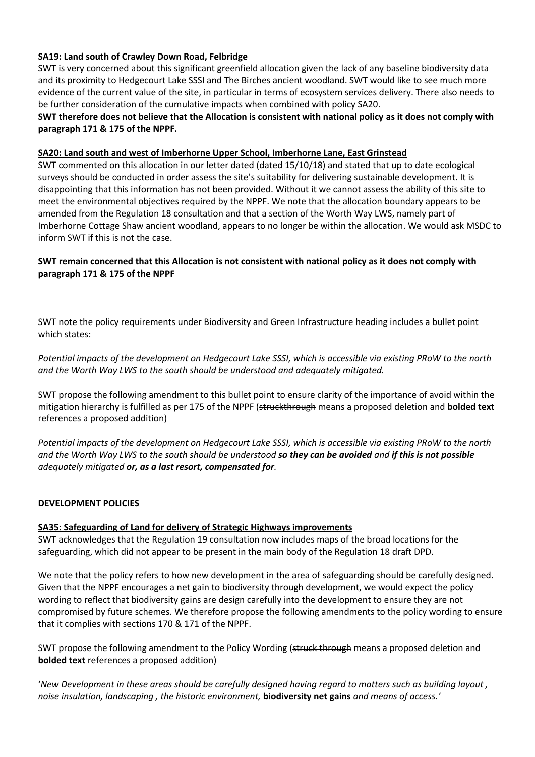## **SA19: Land south of Crawley Down Road, Felbridge**

SWT is very concerned about this significant greenfield allocation given the lack of any baseline biodiversity data and its proximity to Hedgecourt Lake SSSI and The Birches ancient woodland. SWT would like to see much more evidence of the current value of the site, in particular in terms of ecosystem services delivery. There also needs to be further consideration of the cumulative impacts when combined with policy SA20.

**SWT therefore does not believe that the Allocation is consistent with national policy as it does not comply with paragraph 171 & 175 of the NPPF.**

#### **SA20: Land south and west of Imberhorne Upper School, Imberhorne Lane, East Grinstead**

SWT commented on this allocation in our letter dated (dated 15/10/18) and stated that up to date ecological surveys should be conducted in order assess the site's suitability for delivering sustainable development. It is disappointing that this information has not been provided. Without it we cannot assess the ability of this site to meet the environmental objectives required by the NPPF. We note that the allocation boundary appears to be amended from the Regulation 18 consultation and that a section of the Worth Way LWS, namely part of Imberhorne Cottage Shaw ancient woodland, appears to no longer be within the allocation. We would ask MSDC to inform SWT if this is not the case.

## **SWT remain concerned that this Allocation is not consistent with national policy as it does not comply with paragraph 171 & 175 of the NPPF**

SWT note the policy requirements under Biodiversity and Green Infrastructure heading includes a bullet point which states:

*Potential impacts of the development on Hedgecourt Lake SSSI, which is accessible via existing PRoW to the north and the Worth Way LWS to the south should be understood and adequately mitigated.*

SWT propose the following amendment to this bullet point to ensure clarity of the importance of avoid within the mitigation hierarchy is fulfilled as per 175 of the NPPF (struckthrough means a proposed deletion and **bolded text** references a proposed addition)

*Potential impacts of the development on Hedgecourt Lake SSSI, which is accessible via existing PRoW to the north and the Worth Way LWS to the south should be understood so they can be avoided and if this is not possible adequately mitigated or, as a last resort, compensated for.*

## **DEVELOPMENT POLICIES**

#### **SA35: Safeguarding of Land for delivery of Strategic Highways improvements**

SWT acknowledges that the Regulation 19 consultation now includes maps of the broad locations for the safeguarding, which did not appear to be present in the main body of the Regulation 18 draft DPD.

We note that the policy refers to how new development in the area of safeguarding should be carefully designed. Given that the NPPF encourages a net gain to biodiversity through development, we would expect the policy wording to reflect that biodiversity gains are design carefully into the development to ensure they are not compromised by future schemes. We therefore propose the following amendments to the policy wording to ensure that it complies with sections 170 & 171 of the NPPF.

SWT propose the following amendment to the Policy Wording (struck through means a proposed deletion and **bolded text** references a proposed addition)

'*New Development in these areas should be carefully designed having regard to matters such as building layout , noise insulation, landscaping , the historic environment,* **biodiversity net gains** *and means of access.'*